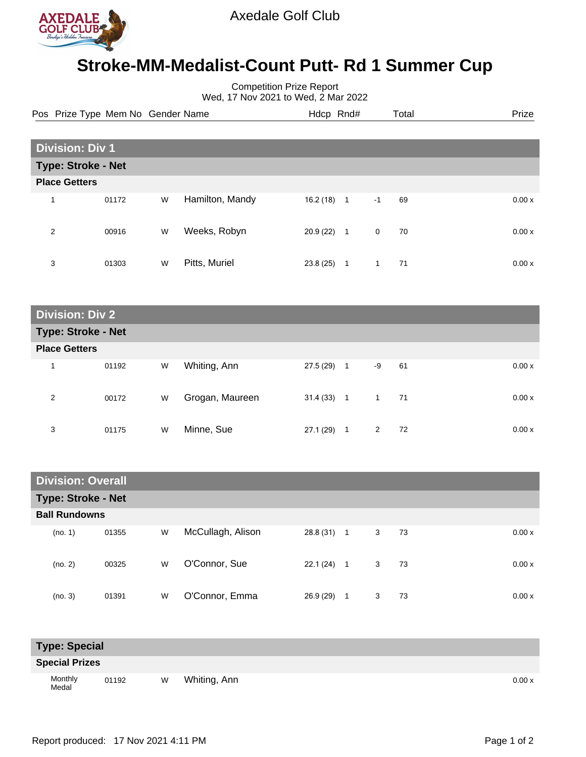

## **Stroke-MM-Medalist-Count Putt- Rd 1 Summer Cup**

Competition Prize Report Wed, 17 Nov 2021 to Wed, 2 Mar 2022

|   | Pos Prize Type Mem No Gender Name |   |                 |          | Hdcp Rnd#    |              | Total |  | Prize |
|---|-----------------------------------|---|-----------------|----------|--------------|--------------|-------|--|-------|
|   |                                   |   |                 |          |              |              |       |  |       |
|   | <b>Division: Div 1</b>            |   |                 |          |              |              |       |  |       |
|   | <b>Type: Stroke - Net</b>         |   |                 |          |              |              |       |  |       |
|   | <b>Place Getters</b>              |   |                 |          |              |              |       |  |       |
| 1 | 01172                             | W | Hamilton, Mandy | 16.2(18) | $\mathbf{1}$ | $-1$         | 69    |  | 0.00x |
| 2 | 00916                             | W | Weeks, Robyn    | 20.9(22) | $\mathbf{1}$ | $\mathbf 0$  | 70    |  | 0.00x |
| 3 | 01303                             | W | Pitts, Muriel   | 23.8(25) | -1           | $\mathbf{1}$ | 71    |  | 0.00x |

| <b>Division: Div 2</b> |                           |   |                 |              |                |                |    |  |       |
|------------------------|---------------------------|---|-----------------|--------------|----------------|----------------|----|--|-------|
|                        | <b>Type: Stroke - Net</b> |   |                 |              |                |                |    |  |       |
| <b>Place Getters</b>   |                           |   |                 |              |                |                |    |  |       |
| 1                      | 01192                     | W | Whiting, Ann    | 27.5 (29)    | $\overline{1}$ | -9             | 61 |  | 0.00x |
| 2                      | 00172                     | W | Grogan, Maureen | $31.4(33)$ 1 |                | $\overline{1}$ | 71 |  | 0.00x |
| 3                      | 01175                     | W | Minne, Sue      | 27.1 (29)    | $\mathbf{1}$   | $\overline{2}$ | 72 |  | 0.00x |

|                           | <b>Division: Overall</b> |   |                   |           |                |   |    |  |        |
|---------------------------|--------------------------|---|-------------------|-----------|----------------|---|----|--|--------|
| <b>Type: Stroke - Net</b> |                          |   |                   |           |                |   |    |  |        |
| <b>Ball Rundowns</b>      |                          |   |                   |           |                |   |    |  |        |
| (no. 1)                   | 01355                    | W | McCullagh, Alison | 28.8 (31) | $\overline{1}$ | 3 | 73 |  | 0.00 x |
| (no. 2)                   | 00325                    | W | O'Connor, Sue     | 22.1(24)  | $\blacksquare$ | 3 | 73 |  | 0.00 x |
| (no. 3)                   | 01391                    | W | O'Connor, Emma    | 26.9(29)  | 1              | 3 | 73 |  | 0.00x  |

| <b>Type: Special</b>  |       |   |              |       |
|-----------------------|-------|---|--------------|-------|
| <b>Special Prizes</b> |       |   |              |       |
| Monthly<br>Medal      | 01192 | W | Whiting, Ann | 0.00x |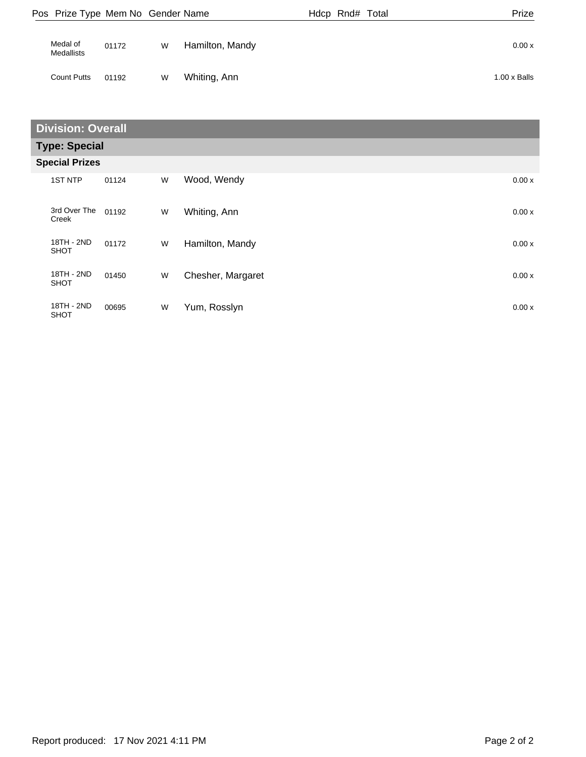| Pos Prize Type Mem No Gender Name |       |   |                 | Hdcp Rnd# Total | Prize               |
|-----------------------------------|-------|---|-----------------|-----------------|---------------------|
| Medal of<br><b>Medallists</b>     | 01172 | W | Hamilton, Mandy |                 | 0.00x               |
| <b>Count Putts</b>                | 01192 | W | Whiting, Ann    |                 | $1.00 \times$ Balls |

| <b>Division: Overall</b>  |       |   |                   |        |  |  |  |  |
|---------------------------|-------|---|-------------------|--------|--|--|--|--|
| <b>Type: Special</b>      |       |   |                   |        |  |  |  |  |
| <b>Special Prizes</b>     |       |   |                   |        |  |  |  |  |
| <b>1ST NTP</b>            | 01124 | W | Wood, Wendy       | 0.00x  |  |  |  |  |
| 3rd Over The<br>Creek     | 01192 | W | Whiting, Ann      | 0.00x  |  |  |  |  |
| 18TH - 2ND<br><b>SHOT</b> | 01172 | W | Hamilton, Mandy   | 0.00x  |  |  |  |  |
| 18TH - 2ND<br><b>SHOT</b> | 01450 | W | Chesher, Margaret | 0.00x  |  |  |  |  |
| 18TH - 2ND<br><b>SHOT</b> | 00695 | W | Yum, Rosslyn      | 0.00 x |  |  |  |  |